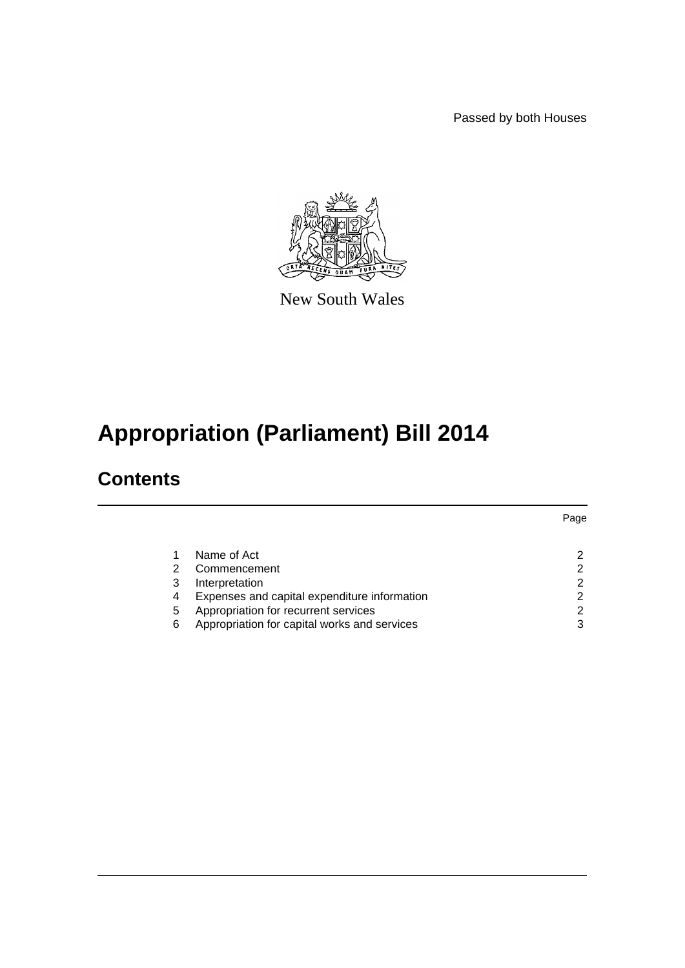Passed by both Houses



New South Wales

# **Appropriation (Parliament) Bill 2014**

### **Contents**

|   |                                              | Page |
|---|----------------------------------------------|------|
|   | Name of Act                                  |      |
| 2 | Commencement                                 |      |
| 3 | Interpretation                               |      |
| 4 | Expenses and capital expenditure information |      |
| 5 | Appropriation for recurrent services         |      |
| 6 | Appropriation for capital works and services | 3    |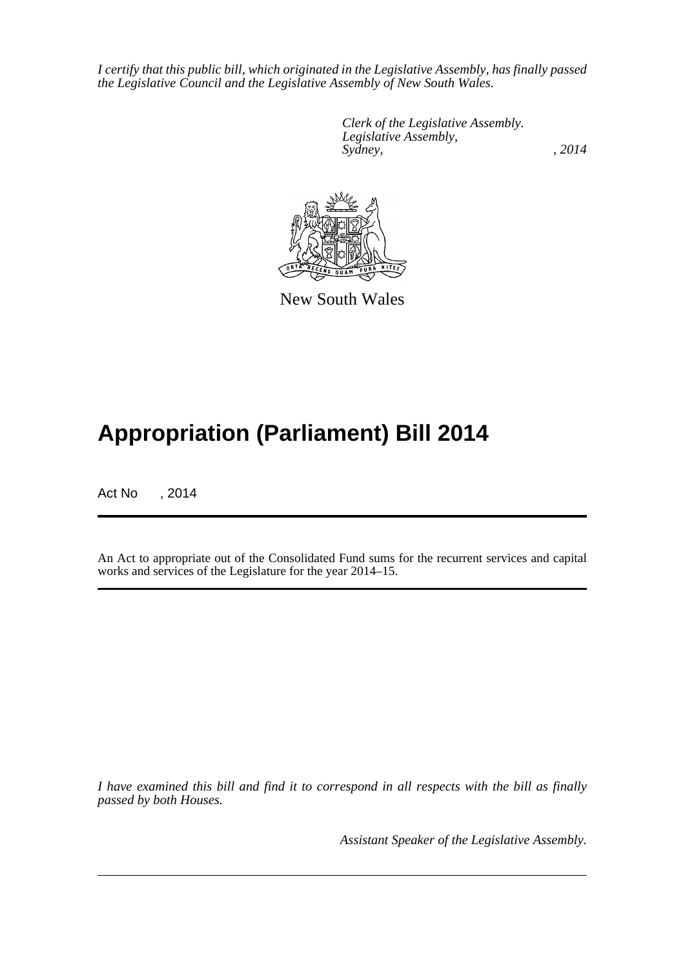*I certify that this public bill, which originated in the Legislative Assembly, has finally passed the Legislative Council and the Legislative Assembly of New South Wales.*

> *Clerk of the Legislative Assembly. Legislative Assembly, Sydney,* , 2014



New South Wales

## **Appropriation (Parliament) Bill 2014**

Act No , 2014

An Act to appropriate out of the Consolidated Fund sums for the recurrent services and capital works and services of the Legislature for the year 2014–15.

*I have examined this bill and find it to correspond in all respects with the bill as finally passed by both Houses.*

*Assistant Speaker of the Legislative Assembly.*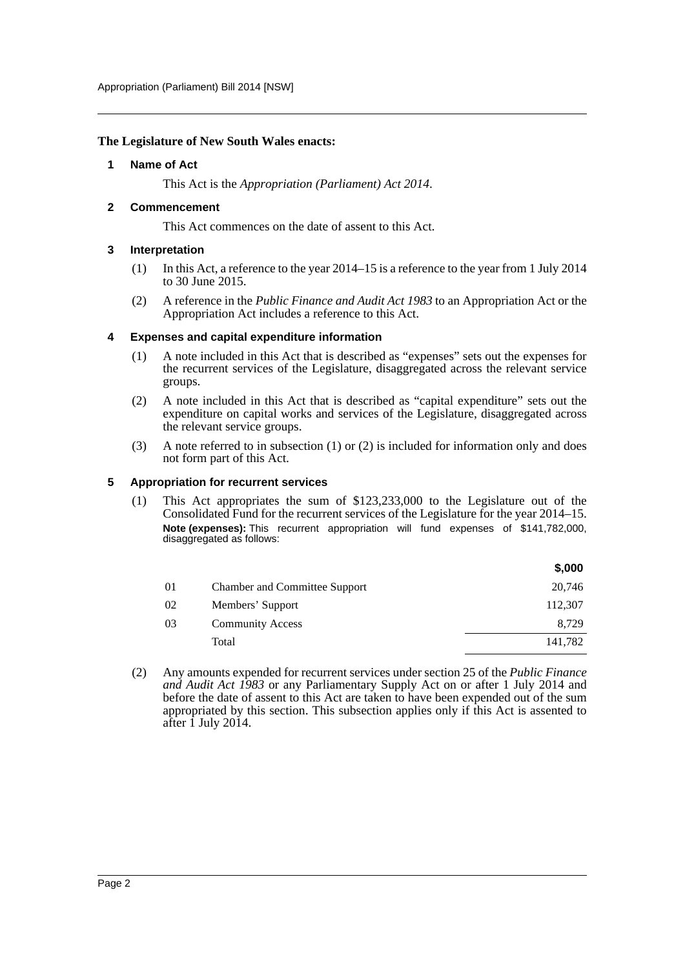#### <span id="page-2-0"></span>**The Legislature of New South Wales enacts:**

#### **1 Name of Act**

This Act is the *Appropriation (Parliament) Act 2014*.

#### <span id="page-2-1"></span>**2 Commencement**

This Act commences on the date of assent to this Act.

#### <span id="page-2-2"></span>**3 Interpretation**

- (1) In this Act, a reference to the year 2014–15 is a reference to the year from 1 July 2014 to 30 June 2015.
- (2) A reference in the *Public Finance and Audit Act 1983* to an Appropriation Act or the Appropriation Act includes a reference to this Act.

#### <span id="page-2-3"></span>**4 Expenses and capital expenditure information**

- (1) A note included in this Act that is described as "expenses" sets out the expenses for the recurrent services of the Legislature, disaggregated across the relevant service groups.
- (2) A note included in this Act that is described as "capital expenditure" sets out the expenditure on capital works and services of the Legislature, disaggregated across the relevant service groups.
- (3) A note referred to in subsection (1) or (2) is included for information only and does not form part of this Act.

#### <span id="page-2-4"></span>**5 Appropriation for recurrent services**

(1) This Act appropriates the sum of \$123,233,000 to the Legislature out of the Consolidated Fund for the recurrent services of the Legislature for the year 2014–15. **Note (expenses):** This recurrent appropriation will fund expenses of \$141,782,000, disaggregated as follows:

|    |                                      | \$,000  |
|----|--------------------------------------|---------|
| 01 | <b>Chamber and Committee Support</b> | 20,746  |
| 02 | Members' Support                     | 112,307 |
| 03 | <b>Community Access</b>              | 8,729   |
|    | Total                                | 141,782 |

(2) Any amounts expended for recurrent services under section 25 of the *Public Finance and Audit Act 1983* or any Parliamentary Supply Act on or after 1 July 2014 and before the date of assent to this Act are taken to have been expended out of the sum appropriated by this section. This subsection applies only if this Act is assented to after  $\hat{1}$  July 2014.